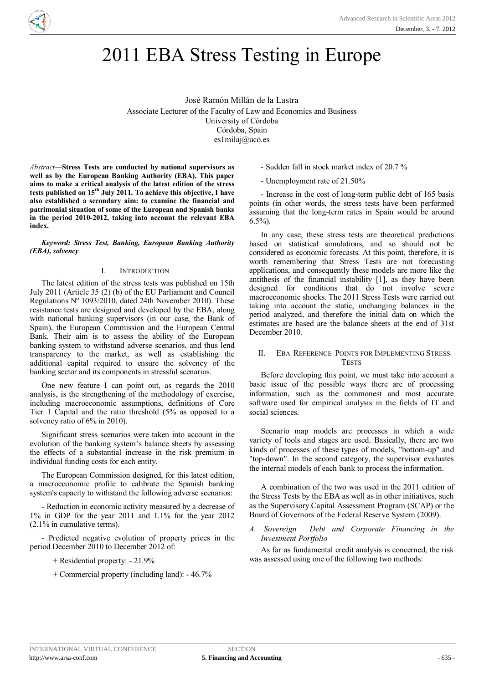

# 2011 EBA Stress Testing in Europe

José Ramón Millán de la Lastra Associate Lecturer of the Faculty of Law and Economics and Business University of Córdoba Córdoba, Spain es1milaj@uco.es

*Abstract***—Stress Tests are conducted by national supervisors as well as by the European Banking Authority (EBA). This paper aims to make a critical analysis of the latest edition of the stress tests published on 15th July 2011. To achieve this objective, I have also established a secondary aim: to examine the financial and patrimonial situation of some of the European and Spanish banks in the period 2010-2012, taking into account the relevant EBA index.** 

*Keyword: Stress Test, Banking, European Banking Authority (EBA), solvency*

#### I. INTRODUCTION

The latest edition of the stress tests was published on 15th July 2011 (Article 35 (2) (b) of the EU Parliament and Council Regulations Nº 1093/2010, dated 24th November 2010). These resistance tests are designed and developed by the EBA, along with national banking supervisors (in our case, the Bank of Spain), the European Commission and the European Central Bank. Their aim is to assess the ability of the European banking system to withstand adverse scenarios, and thus lend transparency to the market, as well as establishing the additional capital required to ensure the solvency of the banking sector and its components in stressful scenarios.

One new feature I can point out, as regards the 2010 analysis, is the strengthening of the methodology of exercise, including macroeconomic assumptions, definitions of Core Tier 1 Capital and the ratio threshold (5% as opposed to a solvency ratio of 6% in 2010).

Significant stress scenarios were taken into account in the evolution of the banking system's balance sheets by assessing the effects of a substantial increase in the risk premium in individual funding costs for each entity.

The European Commission designed, for this latest edition, a macroeconomic profile to calibrate the Spanish banking system's capacity to withstand the following adverse scenarios:

- Reduction in economic activity measured by a decrease of 1% in GDP for the year 2011 and 1.1% for the year 2012 (2.1% in cumulative terms).

- Predicted negative evolution of property prices in the period December 2010 to December 2012 of:

+ Residential property: - 21.9%

+ Commercial property (including land): - 46.7%

- Sudden fall in stock market index of 20.7 %

- Unemployment rate of 21.50%

- Increase in the cost of long-term public debt of 165 basis points (in other words, the stress tests have been performed assuming that the long-term rates in Spain would be around 6.5%).

In any case, these stress tests are theoretical predictions based on statistical simulations, and so should not be considered as economic forecasts. At this point, therefore, it is worth remembering that Stress Tests are not forecasting applications, and consequently these models are more like the antithesis of the financial instability [1], as they have been designed for conditions that do not involve severe macroeconomic shocks. The 2011 Stress Tests were carried out taking into account the static, unchanging balances in the period analyzed, and therefore the initial data on which the estimates are based are the balance sheets at the end of 31st December 2010.

# II. EBA REFERENCE POINTS FOR IMPLEMENTING STRESS **TESTS**

Before developing this point, we must take into account a basic issue of the possible ways there are of processing information, such as the commonest and most accurate software used for empirical analysis in the fields of IT and social sciences.

Scenario map models are processes in which a wide variety of tools and stages are used. Basically, there are two kinds of processes of these types of models, "bottom-up" and "top-down". In the second category, the supervisor evaluates the internal models of each bank to process the information.

A combination of the two was used in the 2011 edition of the Stress Tests by the EBA as well as in other initiatives, such as the Supervisory Capital Assessment Program (SCAP) or the Board of Governors of the Federal Reserve System (2009).

*A. Sovereign Debt and Corporate Financing in the Investment Portfolio* 

As far as fundamental credit analysis is concerned, the risk was assessed using one of the following two methods: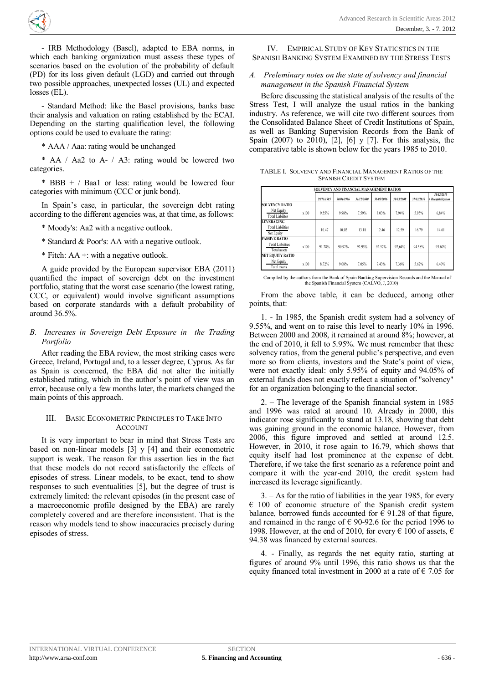**<sup>A</sup>RS<sup>A</sup> <sup>2</sup>01<sup>2</sup>** - <sup>A</sup>dvancede a construction de la construction de la construction de la construction de la construction de la construction de la construction de la construction de la construction de la construction de la construction de la construc h  $\langle \hat{\mathbb{R}} \rangle$ 

- IRB Methodology (Basel), adapted to EBA norms, in which each banking organization must assess these types of scenarios based on the evolution of the probability of default (PD) for its loss given default (LGD) and carried out through two possible approaches, unexpected losses (UL) and expected losses (EL).

- Standard Method: like the Basel provisions, banks base their analysis and valuation on rating established by the ECAI. Depending on the starting qualification level, the following options could be used to evaluate the rating:

\* AAA / Aaa: rating would be unchanged

\* AA / Aa2 to A- / A3: rating would be lowered two categories.

\* BBB + / Baa1 or less: rating would be lowered four categories with minimum (CCC or junk bond).

In Spain's case, in particular, the sovereign debt rating according to the different agencies was, at that time, as follows:

- \* Moody's: Aa2 with a negative outlook.
- \* Standard & Poor's: AA with a negative outlook.
- \* Fitch: AA +: with a negative outlook.

A guide provided by the European supervisor EBA (2011) quantified the impact of sovereign debt on the investment portfolio, stating that the worst case scenario (the lowest rating, CCC, or equivalent) would involve significant assumptions based on corporate standards with a default probability of around 36.5%.

# *B. Increases in Sovereign Debt Exposure in the Trading Portfolio*

After reading the EBA review, the most striking cases were Greece, Ireland, Portugal and, to a lesser degree, Cyprus. As far as Spain is concerned, the EBA did not alter the initially established rating, which in the author's point of view was an error, because only a few months later, the markets changed the main points of this approach.

# III. BASIC ECONOMETRIC PRINCIPLES TO TAKE INTO ACCOUNT

It is very important to bear in mind that Stress Tests are based on non-linear models [3] y [4] and their econometric support is weak. The reason for this assertion lies in the fact that these models do not record satisfactorily the effects of episodes of stress. Linear models, to be exact, tend to show responses to such eventualities [5], but the degree of trust is extremely limited: the relevant episodes (in the present case of a macroeconomic profile designed by the EBA) are rarely completely covered and are therefore inconsistent. That is the reason why models tend to show inaccuracies precisely during episodes of stress.

IV. EMPIRICAL STUDY OF KEY STATICSTICS IN THE SPANISH BANKING SYSTEM EXAMINED BY THE STRESS TESTS

# *A. Preleminary notes on the state of solvency and financial management in the Spanish Financial System*

Before discussing the statistical analysis of the results of the Stress Test, I will analyze the usual ratios in the banking industry. As reference, we will cite two different sources from the Consolidated Balance Sheet of Credit Institutions of Spain, as well as Banking Supervision Records from the Bank of Spain (2007) to 2010), [2], [6] y [7]. For this analysis, the comparative table is shown below for the years 1985 to 2010.

| TABLE I. SOLVENCY AND FINANCIAL MANAGEMENT RATIOS OF THE |
|----------------------------------------------------------|
| <b>SPANISH CREDIT SYSTEM</b>                             |

|                                          |      | SOLVENCY AND FINANCIAL MANAGEMENT RATIOS |            |            |            |            |            |                                  |
|------------------------------------------|------|------------------------------------------|------------|------------|------------|------------|------------|----------------------------------|
|                                          |      | 29/11/1985                               | 30/04/1996 | 31/12/2000 | 31/05/2006 | 31/03/2008 | 31/12/2010 | 31/12/2010<br>+ Recapitalization |
| <b>SOLVENCY RATIO</b>                    |      |                                          |            |            |            |            |            |                                  |
| Net Equity<br><b>Total Liabilites</b>    | x100 | 9.55%                                    | 9.98%      | 759%       | 8.03%      | 7.94%      | 5.95%      | 6.84%                            |
| <b>LEVERAGING</b>                        |      |                                          |            |            |            |            |            |                                  |
| <b>Total Liabilities</b><br>Net Equity   |      | 1047                                     | 10.02      | 13.18      | 12.46      | 12.59      | 16.79      | 14.61                            |
| <b>PASSIVE RATIO</b>                     |      |                                          |            |            |            |            |            |                                  |
| <b>Total Liabilities</b><br>Total assets | x100 | 91 28%                                   | 90 92%     | 92.95%     | 92.57%     | 92.64%     | 94.38%     | 93.60%                           |
| <b>NET EOUITY RATIO</b>                  |      |                                          |            |            |            |            |            |                                  |
| Net Equity<br><b>Total assets</b>        | x100 | 8.72%                                    | 9.08%      | 7.05%      | 7.43%      | 7.36%      | 5.62%      | 6.40%                            |

Compiled by the authors from the Bank of Spain Banking Supervision Records and the Manual of the Spanish Financial System (CALVO, J, 2010)

From the above table, it can be deduced, among other points, that:

1. - In 1985, the Spanish credit system had a solvency of 9.55%, and went on to raise this level to nearly 10% in 1996. Between 2000 and 2008, it remained at around 8%; however, at the end of 2010, it fell to 5.95%. We must remember that these solvency ratios, from the general public's perspective, and even more so from clients, investors and the State's point of view, were not exactly ideal: only 5.95% of equity and 94.05% of external funds does not exactly reflect a situation of "solvency" for an organization belonging to the financial sector.

2. – The leverage of the Spanish financial system in 1985 and 1996 was rated at around 10. Already in 2000, this indicator rose significantly to stand at 13.18, showing that debt was gaining ground in the economic balance. However, from 2006, this figure improved and settled at around 12.5. However, in 2010, it rose again to 16.79, which shows that equity itself had lost prominence at the expense of debt. Therefore, if we take the first scenario as a reference point and compare it with the year-end 2010, the credit system had increased its leverage significantly.

3. – As for the ratio of liabilities in the year 1985, for every € 100 of economic structure of the Spanish credit system balance, borrowed funds accounted for  $\epsilon$  91.28 of that figure, and remained in the range of  $\epsilon$  90-92.6 for the period 1996 to 1998. However, at the end of 2010, for every  $\epsilon$  100 of assets,  $\epsilon$ 94.38 was financed by external sources.

4. - Finally, as regards the net equity ratio, starting at figures of around 9% until 1996, this ratio shows us that the equity financed total investment in 2000 at a rate of  $\epsilon$  7.05 for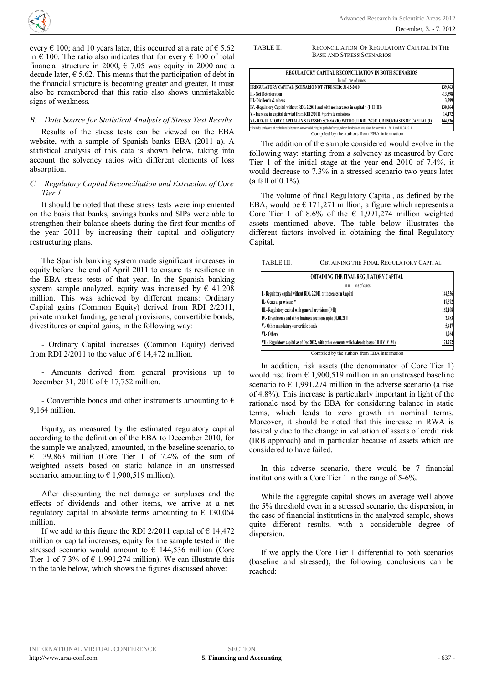

every  $\epsilon$  100; and 10 years later, this occurred at a rate of  $\epsilon$  5.62 in  $\epsilon$  100. The ratio also indicates that for every  $\epsilon$  100 of total financial structure in 2000,  $\epsilon$  7.05 was equity in 2000 and a decade later,  $\epsilon$  5.62. This means that the participation of debt in the financial structure is becoming greater and greater. It must also be remembered that this ratio also shows unmistakable signs of weakness.

## *B. Data Source for Statistical Analysis of Stress Test Results*

Results of the stress tests can be viewed on the EBA website, with a sample of Spanish banks EBA (2011 a). A statistical analysis of this data is shown below, taking into account the solvency ratios with different elements of loss absorption.

## *C. Regulatory Capital Reconciliation and Extraction of Core Tier 1*

It should be noted that these stress tests were implemented on the basis that banks, savings banks and SIPs were able to strengthen their balance sheets during the first four months of the year 2011 by increasing their capital and obligatory restructuring plans.

The Spanish banking system made significant increases in equity before the end of April 2011 to ensure its resilience in the EBA stress tests of that year. In the Spanish banking system sample analyzed, equity was increased by  $\epsilon$  41,208 million. This was achieved by different means: Ordinary Capital gains (Common Equity) derived from RDI 2/2011, private market funding, general provisions, convertible bonds, divestitures or capital gains, in the following way:

- Ordinary Capital increases (Common Equity) derived from RDI 2/2011 to the value of  $\epsilon$  14,472 million.

- Amounts derived from general provisions up to December 31, 2010 of  $\in$  17,752 million.

- Convertible bonds and other instruments amounting to  $\epsilon$ 9,164 million.

Equity, as measured by the estimated regulatory capital according to the definition of the EBA to December 2010, for the sample we analyzed, amounted, in the baseline scenario, to  $\epsilon$  139,863 million (Core Tier 1 of 7.4% of the sum of weighted assets based on static balance in an unstressed scenario, amounting to  $\in$  1,900,519 million).

After discounting the net damage or surpluses and the effects of dividends and other items, we arrive at a net regulatory capital in absolute terms amounting to  $\epsilon$  130,064 million.

If we add to this figure the RDI 2/2011 capital of  $\epsilon$  14,472 million or capital increases, equity for the sample tested in the stressed scenario would amount to  $\epsilon$  144,536 million (Core Tier 1 of 7.3% of  $\epsilon$  1,991,274 million). We can illustrate this in the table below, which shows the figures discussed above:

TABLE II. RECONCILIATION OF REGULATORY CAPITAL IN THE BASE AND STRESS SCENARIOS

| REGULATORY CAPITAL RECONCILIATION IN BOTH SCENARIOS                                                                                                   |           |
|-------------------------------------------------------------------------------------------------------------------------------------------------------|-----------|
| In millions of euros                                                                                                                                  |           |
| I REGULATORY CAPITAL (SCENARIO NOT STRESSED: 31-12-2010)                                                                                              | 139,963   |
| <b>II.</b> Net Deterioration                                                                                                                          | $-13,598$ |
| <b>III.-Dividends &amp; others</b>                                                                                                                    | 3,799     |
| IV. - Regulatory Capital without RDL 2/2011 and with no increases in capital * (I+II+III)                                                             | 130,064   |
| V.- Increase in capital dervied from RDI 2/2011 + private emissions                                                                                   | 14,472    |
| VL- REGULATORY CAPITAL IN STRESSED SCENARIO WITHOUT RDL 2/2011 OR INCREASES OF CAPITAL (IV                                                            | 144,536   |
| * Includes emissions of capital and debentures converted during the period of stress, where the decision was taken between 01.01.2011 and 30.04.2011. |           |
| Compiled by the authors from EBA information                                                                                                          |           |

The addition of the sample considered would evolve in the following way: starting from a solvency as measured by Core Tier 1 of the initial stage at the year-end 2010 of 7.4%, it would decrease to 7.3% in a stressed scenario two years later (a fall of 0.1%).

The volume of final Regulatory Capital, as defined by the EBA, would be  $\epsilon$  171,271 million, a figure which represents a Core Tier 1 of 8.6% of the  $\epsilon$  1,991,274 million weighted assets mentioned above. The table below illustrates the different factors involved in obtaining the final Regulatory Capital.

TABLE III. OBTAINING THE FINAL REGULATORY CAPITAL

| In millions of euros                                                                           |         |
|------------------------------------------------------------------------------------------------|---------|
|                                                                                                |         |
| I.- Regulatory capital without RDL 2/2011 or increases in Capital                              | 144,536 |
| II.- General provisions *                                                                      | 17,572  |
| III.- Regulatory capital with general provisions (I+II)                                        | 162,108 |
| IV .- Divestments and other business decisions up to 30.04.2011                                | 2,483   |
| V.- Other mandatory convertible bonds                                                          | 5,417   |
| VI.- Others                                                                                    | 1,264   |
| VII.- Regulatory capital as of Dec 2012, with other elements which absorb losses (III+IV+V+VI) | 171,272 |

Compiled by the authors from EBA information

In addition, risk assets (the denominator of Core Tier 1) would rise from  $\epsilon$  1,900,519 million in an unstressed baseline scenario to  $\epsilon$  1,991,274 million in the adverse scenario (a rise of 4.8%). This increase is particularly important in light of the rationale used by the EBA for considering balance in static terms, which leads to zero growth in nominal terms. Moreover, it should be noted that this increase in RWA is basically due to the change in valuation of assets of credit risk (IRB approach) and in particular because of assets which are considered to have failed.

In this adverse scenario, there would be 7 financial institutions with a Core Tier 1 in the range of 5-6%.

While the aggregate capital shows an average well above the 5% threshold even in a stressed scenario, the dispersion, in the case of financial institutions in the analyzed sample, shows quite different results, with a considerable degree of dispersion.

If we apply the Core Tier 1 differential to both scenarios (baseline and stressed), the following conclusions can be reached: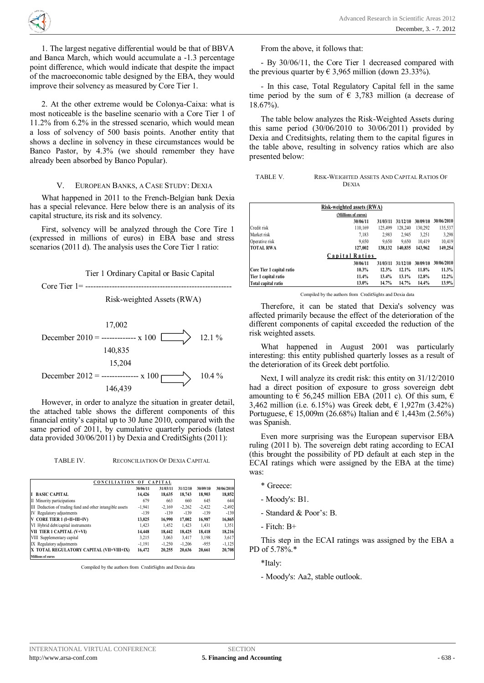1. The largest negative differential would be that of BBVA and Banca March, which would accumulate a -1.3 percentage point difference, which would indicate that despite the impact of the macroeconomic table designed by the EBA, they would improve their solvency as measured by Core Tier 1.

**<sup>A</sup>RS<sup>A</sup> <sup>2</sup>01<sup>2</sup>** - <sup>A</sup>dvancede a construction de la construction de la construction de la construction de la construction de la construction de la construction de la construction de la construction de la construction de la construction de la construc h  $\langle \hat{\mathbb{R}} \rangle$ 

2. At the other extreme would be Colonya-Caixa: what is most noticeable is the baseline scenario with a Core Tier 1 of 11.2% from 6.2% in the stressed scenario, which would mean a loss of solvency of 500 basis points. Another entity that shows a decline in solvency in these circumstances would be Banco Pastor, by 4.3% (we should remember they have already been absorbed by Banco Popular).

#### V. EUROPEAN BANKS, A CASE STUDY: DEXIA

What happened in 2011 to the French-Belgian bank Dexia has a special relevance. Here below there is an analysis of its capital structure, its risk and its solvency.

First, solvency will be analyzed through the Core Tire 1 (expressed in millions of euros) in EBA base and stress scenarios (2011 d). The analysis uses the Core Tier 1 ratio:





However, in order to analyze the situation in greater detail, the attached table shows the different components of this financial entity's capital up to 30 June 2010, compared with the same period of 2011, by cumulative quarterly periods (latest data provided 30/06/2011) by Dexia and CreditSights (2011):

TABLE IV. RECONCILIATION OF DEXIA CAPITAL

| <b>CONCILIATION</b><br><b>CAPITAL</b><br>0F               |          |          |          |          |            |  |
|-----------------------------------------------------------|----------|----------|----------|----------|------------|--|
|                                                           | 30/06/11 | 31/03/11 | 31/12/10 | 30/09/10 | 30/06/2010 |  |
| <b>BASIC CAPITAL</b><br>T                                 | 14.426   | 18.635   | 18.743   | 18.903   | 18,852     |  |
| II Minority participations                                | 679      | 663      | 660      | 645      | 644        |  |
| III Deduction of trading fund and other intangible assets | $-1,941$ | $-2,169$ | $-2,262$ | $-2.422$ | $-2,492$   |  |
| IV Regulatory adjustments                                 | $-139$   | $-139$   | $-139$   | $-139$   | $-139$     |  |
| V CORE TIER 1 (I+II+III+IV)                               | 13.025   | 16.990   | 17.002   | 16.987   | 16,865     |  |
| VI Hybrid debt/capital instruments                        | 1.423    | 1,452    | 1.423    | 1.431    | 1,351      |  |
| VII TIER 1 CAPITAL (V+VI)                                 | 14.448   | 18,442   | 18,425   | 18.418   | 18,216     |  |
| VIII Supplementary capital                                | 3.215    | 3.063    | 3.417    | 3,198    | 3,617      |  |
| IX Regulatory adjustments                                 | $-1.191$ | $-1.250$ | $-1.206$ | $-955$   | $-1,125$   |  |
| X TOTAL REGULATORY CAPITAL (VII+VIII+IX)                  | 16.472   | 20.255   | 20.636   | 20.661   | 20,708     |  |
| <b>Millions of euros</b>                                  |          |          |          |          |            |  |

Compiled by the authors from CreditSights and Dexia data

From the above, it follows that:

- By 30/06/11, the Core Tier 1 decreased compared with the previous quarter by  $\in$  3,965 million (down 23.33%).

- In this case, Total Regulatory Capital fell in the same time period by the sum of  $\epsilon$  3.783 million (a decrease of 18.67%).

The table below analyzes the Risk-Weighted Assets during this same period  $(30/06/2010)$  to  $30/06/2011$ ) provided by Dexia and Creditsights, relating them to the capital figures in the table above, resulting in solvency ratios which are also presented below:

TABLE V. RISK-WEIGHTED ASSETS AND CAPITAL RATIOS OF DEXIA

| Risk-weighted assets (RWA) |                |          |          |          |            |  |  |
|----------------------------|----------------|----------|----------|----------|------------|--|--|
| (Millions of euros)        |                |          |          |          |            |  |  |
|                            | 30/06/11       | 31/03/11 | 31/12/10 | 30/09/10 | 30/06/2010 |  |  |
| Credit risk                | 110.169        | 125.499  | 128.240  | 130,292  | 135,537    |  |  |
| Market risk                | 7,183          | 2,983    | 2,945    | 3,251    | 3,298      |  |  |
| Operative risk             | 9.650          | 9,650    | 9.650    | 10.419   | 10,419     |  |  |
| <b>TOTAL RWA</b>           | 127,002        | 138.132  | 140,835  | 143.962  | 149,254    |  |  |
|                            | Capital Ratios |          |          |          |            |  |  |
|                            | 30/06/11       | 31/03/11 | 31/12/10 | 30/09/10 | 30/06/2010 |  |  |
| Core Tier 1 capital ratio  | 10.3%          | 12.3%    | 12.1%    | 11.8%    | 11.3%      |  |  |
| Tier 1 capital ratio       | 11.4%          | 13.4%    | 13.1%    | 12.8%    | 12.2%      |  |  |
| Total capital ratio        | 13.0%          | 14.7%    | 14.7%    | 14.4%    | 13.9%      |  |  |

Compiled by the authors from CreditSights and Dexia data

Therefore, it can be stated that Dexia's solvency was affected primarily because the effect of the deterioration of the different components of capital exceeded the reduction of the risk weighted assets.

What happened in August 2001 was particularly interesting: this entity published quarterly losses as a result of the deterioration of its Greek debt portfolio.

Next, I will analyze its credit risk: this entity on 31/12/2010 had a direct position of exposure to gross sovereign debt amounting to  $\epsilon$  56,245 million EBA (2011 c). Of this sum,  $\epsilon$ 3,462 million (i.e. 6.15%) was Greek debt, € 1,927m (3.42%) Portuguese,  $\in$  15,009m (26.68%) Italian and  $\in$  1,443m (2.56%) was Spanish.

Even more surprising was the European supervisor EBA ruling (2011 b). The sovereign debt rating according to ECAI (this brought the possibility of PD default at each step in the ECAI ratings which were assigned by the EBA at the time) was:

- \* Greece:
- Moody's: B1.
- Standard & Poor's: B.
- Fitch: B+

This step in the ECAI ratings was assigned by the EBA a PD of 5.78%.\*

\*Italy:

- Moody's: Aa2, stable outlook.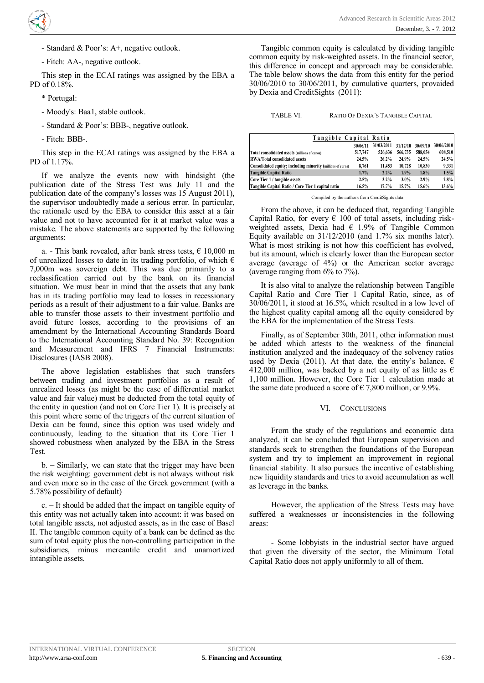- Standard & Poor's: A+, negative outlook.

- Fitch: AA-, negative outlook.

This step in the ECAI ratings was assigned by the EBA a PD of 0.18%.

- \* Portugal:
- Moody's: Baa1, stable outlook.
- Standard & Poor's: BBB-, negative outlook.
- Fitch: BBB-.

This step in the ECAI ratings was assigned by the EBA a PD of 1.17%.

If we analyze the events now with hindsight (the publication date of the Stress Test was July 11 and the publication date of the company's losses was 15 August 2011), the supervisor undoubtedly made a serious error. In particular, the rationale used by the EBA to consider this asset at a fair value and not to have accounted for it at market value was a mistake. The above statements are supported by the following arguments:

a. - This bank revealed, after bank stress tests,  $\epsilon$  10,000 m of unrealized losses to date in its trading portfolio, of which  $\epsilon$ 7,000m was sovereign debt. This was due primarily to a reclassification carried out by the bank on its financial situation. We must bear in mind that the assets that any bank has in its trading portfolio may lead to losses in recessionary periods as a result of their adjustment to a fair value. Banks are able to transfer those assets to their investment portfolio and avoid future losses, according to the provisions of an amendment by the International Accounting Standards Board to the International Accounting Standard No. 39: Recognition and Measurement and IFRS 7 Financial Instruments: Disclosures (IASB 2008).

The above legislation establishes that such transfers between trading and investment portfolios as a result of unrealized losses (as might be the case of differential market value and fair value) must be deducted from the total equity of the entity in question (and not on Core Tier 1). It is precisely at this point where some of the triggers of the current situation of Dexia can be found, since this option was used widely and continuously, leading to the situation that its Core Tier 1 showed robustness when analyzed by the EBA in the Stress Test.

b. – Similarly, we can state that the trigger may have been the risk weighting: government debt is not always without risk and even more so in the case of the Greek government (with a 5.78% possibility of default)

c. – It should be added that the impact on tangible equity of this entity was not actually taken into account: it was based on total tangible assets, not adjusted assets, as in the case of Basel II. The tangible common equity of a bank can be defined as the sum of total equity plus the non-controlling participation in the subsidiaries, minus mercantile credit and unamortized intangible assets.

Tangible common equity is calculated by dividing tangible common equity by risk-weighted assets. In the financial sector, this difference in concept and approach may be considerable. The table below shows the data from this entity for the period 30/06/2010 to 30/06/2011, by cumulative quarters, provaided by Dexia and CreditSights (2011):

TABLE VI. RATIO OF DEXIA'S TANGIBLE CAPITAL

| Tangible Capital Ratio                                      |          |            |          |          |            |
|-------------------------------------------------------------|----------|------------|----------|----------|------------|
|                                                             | 30/06/11 | 31/03/2011 | 31/12/10 | 30/09/10 | 30/06/2010 |
| Total consolidated assets (millions of euros)               | 517,747  | 526,636    | 566,735  | 588.054  | 608,510    |
| <b>RWA/Total consolidated assets</b>                        | 24.5%    | 26.2%      | 24.9%    | 24.5%    | 24.5%      |
| Consolidated equity; including minority (millions of euros) | 8.761    | 11.453     | 10,728   | 10.830   | 9,331      |
| <b>Tangible Capital Ratio</b>                               | 1.7%     | 2.2%       | 1.9%     | 1.8%     | 1.5%       |
| Core Tier 1 / tangible assets                               | 2.5%     | 3.2%       | 3.0%     | 2.9%     | 2.8%       |
| Tangible Capital Ratio / Core Tier 1 capital ratio          | 16.5%    | 17.7%      | 15.7%    | 15.6%    | 13.6%      |

Compiled by the authors from CreditSights data

From the above, it can be deduced that, regarding Tangible Capital Ratio, for every  $\epsilon$  100 of total assets, including riskweighted assets, Dexia had  $\epsilon$  1.9% of Tangible Common Equity available on 31/12/2010 (and 1.7% six months later). What is most striking is not how this coefficient has evolved, but its amount, which is clearly lower than the European sector average (average of 4%) or the American sector average (average ranging from 6% to 7%).

It is also vital to analyze the relationship between Tangible Capital Ratio and Core Tier 1 Capital Ratio, since, as of 30/06/2011, it stood at 16.5%, which resulted in a low level of the highest quality capital among all the equity considered by the EBA for the implementation of the Stress Tests.

Finally, as of September 30th, 2011, other information must be added which attests to the weakness of the financial institution analyzed and the inadequacy of the solvency ratios used by Dexia (2011). At that date, the entity's balance,  $\epsilon$ 412,000 million, was backed by a net equity of as little as  $\epsilon$ 1,100 million. However, the Core Tier 1 calculation made at the same date produced a score of  $\in 7,800$  million, or 9.9%.

# VI. CONCLUSIONS

From the study of the regulations and economic data analyzed, it can be concluded that European supervision and standards seek to strengthen the foundations of the European system and try to implement an improvement in regional financial stability. It also pursues the incentive of establishing new liquidity standards and tries to avoid accumulation as well as leverage in the banks.

However, the application of the Stress Tests may have suffered a weaknesses or inconsistencies in the following areas:

- Some lobbyists in the industrial sector have argued that given the diversity of the sector, the Minimum Total Capital Ratio does not apply uniformly to all of them.